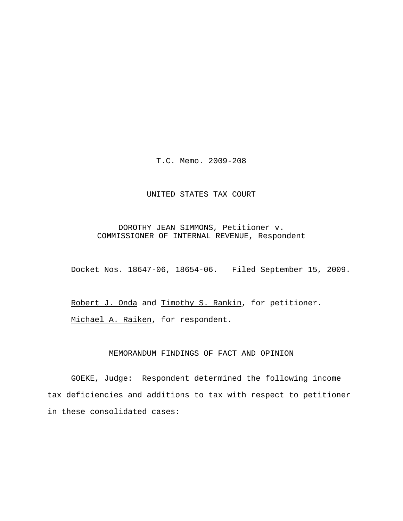T.C. Memo. 2009-208

#### UNITED STATES TAX COURT

DOROTHY JEAN SIMMONS, Petitioner  $\underline{v}$ . COMMISSIONER OF INTERNAL REVENUE, Respondent

Docket Nos. 18647-06, 18654-06. Filed September 15, 2009.

Robert J. Onda and Timothy S. Rankin, for petitioner. Michael A. Raiken, for respondent.

# MEMORANDUM FINDINGS OF FACT AND OPINION

GOEKE, Judge: Respondent determined the following income tax deficiencies and additions to tax with respect to petitioner in these consolidated cases: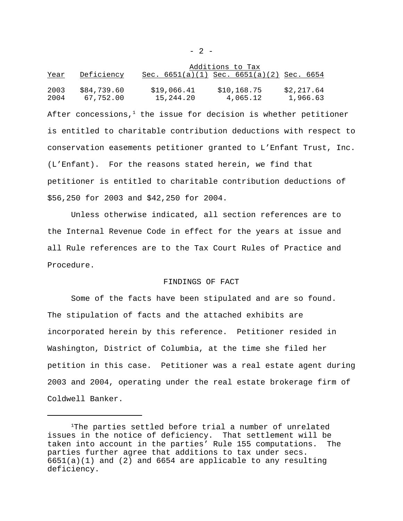|              |                          | Additions to Tax         |                                               |                        |
|--------------|--------------------------|--------------------------|-----------------------------------------------|------------------------|
| <u>Year</u>  | Deficiency               |                          | Sec. $6651(a)(1)$ Sec. $6651(a)(2)$ Sec. 6654 |                        |
| 2003<br>2004 | \$84,739.60<br>67,752.00 | \$19,066.41<br>15,244.20 | \$10,168.75<br>4,065.12                       | \$2,217.64<br>1,966.63 |

After concessions, $<sup>1</sup>$  the issue for decision is whether petitioner</sup> is entitled to charitable contribution deductions with respect to conservation easements petitioner granted to L'Enfant Trust, Inc. (L'Enfant). For the reasons stated herein, we find that petitioner is entitled to charitable contribution deductions of \$56,250 for 2003 and \$42,250 for 2004.

Unless otherwise indicated, all section references are to the Internal Revenue Code in effect for the years at issue and all Rule references are to the Tax Court Rules of Practice and Procedure.

## FINDINGS OF FACT

Some of the facts have been stipulated and are so found. The stipulation of facts and the attached exhibits are incorporated herein by this reference. Petitioner resided in Washington, District of Columbia, at the time she filed her petition in this case. Petitioner was a real estate agent during 2003 and 2004, operating under the real estate brokerage firm of Coldwell Banker.

<sup>1</sup>The parties settled before trial a number of unrelated issues in the notice of deficiency. That settlement will be taken into account in the parties' Rule 155 computations. The parties further agree that additions to tax under secs.  $6651(a)(1)$  and  $(2)$  and  $6654$  are applicable to any resulting deficiency.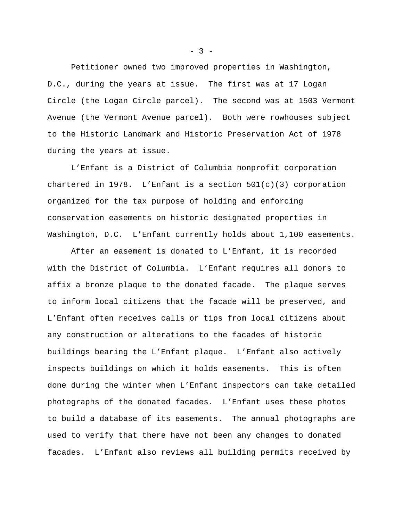Petitioner owned two improved properties in Washington, D.C., during the years at issue. The first was at 17 Logan Circle (the Logan Circle parcel). The second was at 1503 Vermont Avenue (the Vermont Avenue parcel). Both were rowhouses subject to the Historic Landmark and Historic Preservation Act of 1978 during the years at issue.

L'Enfant is a District of Columbia nonprofit corporation chartered in 1978. L'Enfant is a section 501(c)(3) corporation organized for the tax purpose of holding and enforcing conservation easements on historic designated properties in Washington, D.C. L'Enfant currently holds about 1,100 easements.

After an easement is donated to L'Enfant, it is recorded with the District of Columbia. L'Enfant requires all donors to affix a bronze plaque to the donated facade. The plaque serves to inform local citizens that the facade will be preserved, and L'Enfant often receives calls or tips from local citizens about any construction or alterations to the facades of historic buildings bearing the L'Enfant plaque. L'Enfant also actively inspects buildings on which it holds easements. This is often done during the winter when L'Enfant inspectors can take detailed photographs of the donated facades. L'Enfant uses these photos to build a database of its easements. The annual photographs are used to verify that there have not been any changes to donated facades. L'Enfant also reviews all building permits received by

 $- 3 -$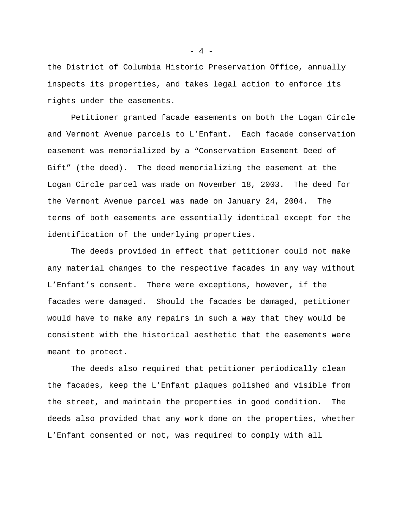the District of Columbia Historic Preservation Office, annually inspects its properties, and takes legal action to enforce its rights under the easements.

Petitioner granted facade easements on both the Logan Circle and Vermont Avenue parcels to L'Enfant. Each facade conservation easement was memorialized by a "Conservation Easement Deed of Gift" (the deed). The deed memorializing the easement at the Logan Circle parcel was made on November 18, 2003. The deed for the Vermont Avenue parcel was made on January 24, 2004. The terms of both easements are essentially identical except for the identification of the underlying properties.

The deeds provided in effect that petitioner could not make any material changes to the respective facades in any way without L'Enfant's consent. There were exceptions, however, if the facades were damaged. Should the facades be damaged, petitioner would have to make any repairs in such a way that they would be consistent with the historical aesthetic that the easements were meant to protect.

The deeds also required that petitioner periodically clean the facades, keep the L'Enfant plaques polished and visible from the street, and maintain the properties in good condition. The deeds also provided that any work done on the properties, whether L'Enfant consented or not, was required to comply with all

 $- 4 -$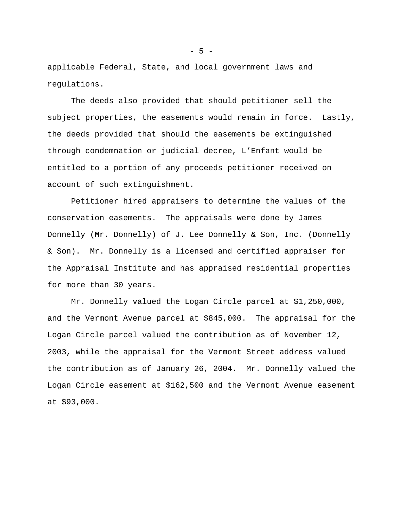applicable Federal, State, and local government laws and regulations.

The deeds also provided that should petitioner sell the subject properties, the easements would remain in force. Lastly, the deeds provided that should the easements be extinguished through condemnation or judicial decree, L'Enfant would be entitled to a portion of any proceeds petitioner received on account of such extinguishment.

Petitioner hired appraisers to determine the values of the conservation easements. The appraisals were done by James Donnelly (Mr. Donnelly) of J. Lee Donnelly & Son, Inc. (Donnelly & Son). Mr. Donnelly is a licensed and certified appraiser for the Appraisal Institute and has appraised residential properties for more than 30 years.

Mr. Donnelly valued the Logan Circle parcel at \$1,250,000, and the Vermont Avenue parcel at \$845,000. The appraisal for the Logan Circle parcel valued the contribution as of November 12, 2003, while the appraisal for the Vermont Street address valued the contribution as of January 26, 2004. Mr. Donnelly valued the Logan Circle easement at \$162,500 and the Vermont Avenue easement at \$93,000.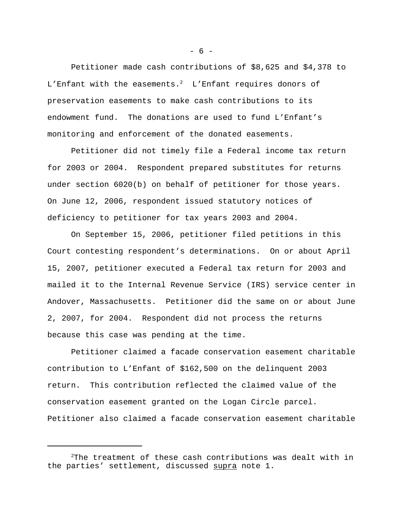Petitioner made cash contributions of \$8,625 and \$4,378 to L'Enfant with the easements.<sup>2</sup> L'Enfant requires donors of preservation easements to make cash contributions to its endowment fund. The donations are used to fund L'Enfant's monitoring and enforcement of the donated easements.

Petitioner did not timely file a Federal income tax return for 2003 or 2004. Respondent prepared substitutes for returns under section 6020(b) on behalf of petitioner for those years. On June 12, 2006, respondent issued statutory notices of deficiency to petitioner for tax years 2003 and 2004.

On September 15, 2006, petitioner filed petitions in this Court contesting respondent's determinations. On or about April 15, 2007, petitioner executed a Federal tax return for 2003 and mailed it to the Internal Revenue Service (IRS) service center in Andover, Massachusetts. Petitioner did the same on or about June 2, 2007, for 2004. Respondent did not process the returns because this case was pending at the time.

Petitioner claimed a facade conservation easement charitable contribution to L'Enfant of \$162,500 on the delinquent 2003 return. This contribution reflected the claimed value of the conservation easement granted on the Logan Circle parcel. Petitioner also claimed a facade conservation easement charitable

 $- 6 -$ 

<sup>&</sup>lt;sup>2</sup>The treatment of these cash contributions was dealt with in the parties' settlement, discussed supra note 1.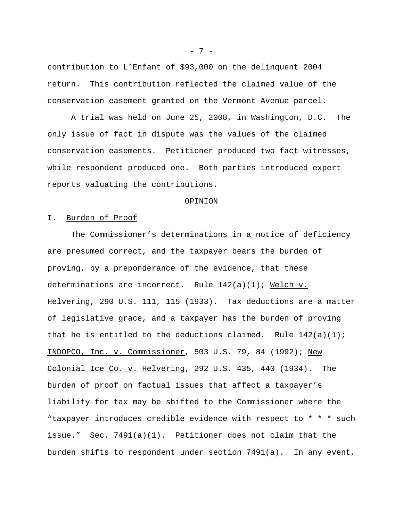contribution to L'Enfant of \$93,000 on the delinquent 2004 return. This contribution reflected the claimed value of the conservation easement granted on the Vermont Avenue parcel.

A trial was held on June 25, 2008, in Washington, D.C. The only issue of fact in dispute was the values of the claimed conservation easements. Petitioner produced two fact witnesses, while respondent produced one. Both parties introduced expert reports valuating the contributions.

#### OPINION

## I. Burden of Proof

The Commissioner's determinations in a notice of deficiency are presumed correct, and the taxpayer bears the burden of proving, by a preponderance of the evidence, that these determinations are incorrect. Rule  $142(a)(1)$ ; Welch v. Helvering, 290 U.S. 111, 115 (1933). Tax deductions are a matter of legislative grace, and a taxpayer has the burden of proving that he is entitled to the deductions claimed. Rule  $142(a)(1)$ ; INDOPCO, Inc. v. Commissioner, 503 U.S. 79, 84 (1992); New Colonial Ice Co. v. Helvering, 292 U.S. 435, 440 (1934). The burden of proof on factual issues that affect a taxpayer's liability for tax may be shifted to the Commissioner where the "taxpayer introduces credible evidence with respect to \* \* \* such issue." Sec. 7491(a)(1). Petitioner does not claim that the burden shifts to respondent under section 7491(a). In any event,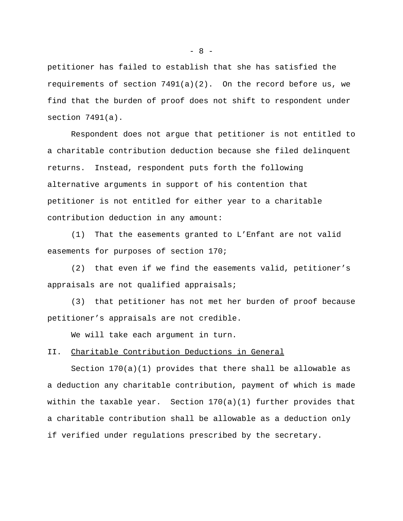petitioner has failed to establish that she has satisfied the requirements of section 7491(a)(2). On the record before us, we find that the burden of proof does not shift to respondent under section 7491(a).

Respondent does not argue that petitioner is not entitled to a charitable contribution deduction because she filed delinquent returns. Instead, respondent puts forth the following alternative arguments in support of his contention that petitioner is not entitled for either year to a charitable contribution deduction in any amount:

(1) That the easements granted to L'Enfant are not valid easements for purposes of section 170;

(2) that even if we find the easements valid, petitioner's appraisals are not qualified appraisals;

(3) that petitioner has not met her burden of proof because petitioner's appraisals are not credible.

We will take each argument in turn.

# II. Charitable Contribution Deductions in General

Section 170(a)(1) provides that there shall be allowable as a deduction any charitable contribution, payment of which is made within the taxable year. Section  $170(a)(1)$  further provides that a charitable contribution shall be allowable as a deduction only if verified under regulations prescribed by the secretary.

 $- 8 -$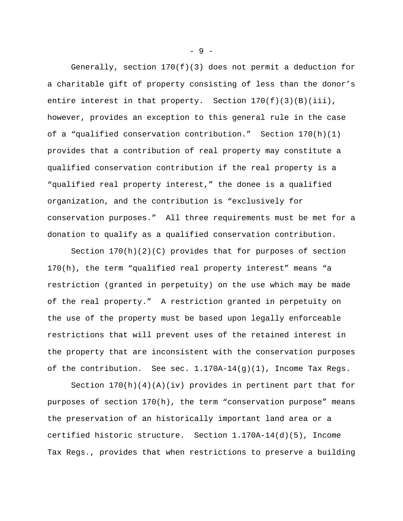Generally, section  $170(f)(3)$  does not permit a deduction for a charitable gift of property consisting of less than the donor's entire interest in that property. Section  $170(f)(3)(B)(iii)$ , however, provides an exception to this general rule in the case of a "qualified conservation contribution." Section  $170(h)(1)$ provides that a contribution of real property may constitute a qualified conservation contribution if the real property is a "qualified real property interest," the donee is a qualified organization, and the contribution is "exclusively for conservation purposes." All three requirements must be met for a donation to qualify as a qualified conservation contribution.

Section  $170(h)(2)(C)$  provides that for purposes of section 170(h), the term "qualified real property interest" means "a restriction (granted in perpetuity) on the use which may be made of the real property." A restriction granted in perpetuity on the use of the property must be based upon legally enforceable restrictions that will prevent uses of the retained interest in the property that are inconsistent with the conservation purposes of the contribution. See sec. 1.170A-14(g)(1), Income Tax Regs.

Section  $170(h)(4)(A)(iv)$  provides in pertinent part that for purposes of section 170(h), the term "conservation purpose" means the preservation of an historically important land area or a certified historic structure. Section 1.170A-14(d)(5), Income Tax Regs., provides that when restrictions to preserve a building

- 9 -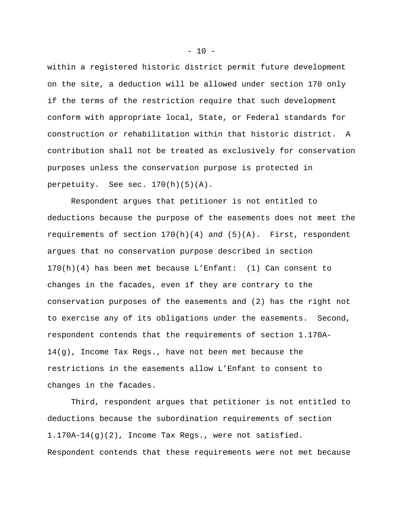within a registered historic district permit future development on the site, a deduction will be allowed under section 170 only if the terms of the restriction require that such development conform with appropriate local, State, or Federal standards for construction or rehabilitation within that historic district. A contribution shall not be treated as exclusively for conservation purposes unless the conservation purpose is protected in perpetuity. See sec. 170(h)(5)(A).

Respondent argues that petitioner is not entitled to deductions because the purpose of the easements does not meet the requirements of section 170(h)(4) and (5)(A). First, respondent argues that no conservation purpose described in section 170(h)(4) has been met because L'Enfant: (1) Can consent to changes in the facades, even if they are contrary to the conservation purposes of the easements and (2) has the right not to exercise any of its obligations under the easements. Second, respondent contends that the requirements of section 1.170A-14(g), Income Tax Regs., have not been met because the restrictions in the easements allow L'Enfant to consent to changes in the facades.

Third, respondent argues that petitioner is not entitled to deductions because the subordination requirements of section 1.170A-14(g)(2), Income Tax Regs., were not satisfied. Respondent contends that these requirements were not met because

 $- 10 -$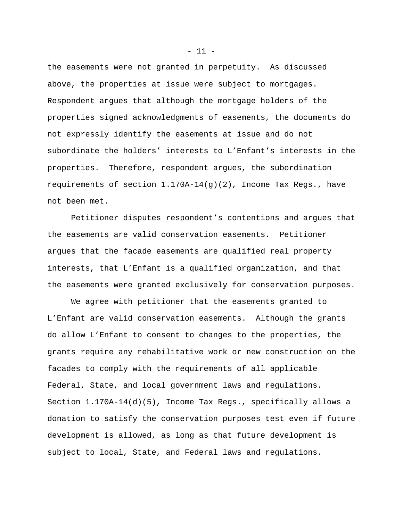the easements were not granted in perpetuity. As discussed above, the properties at issue were subject to mortgages. Respondent argues that although the mortgage holders of the properties signed acknowledgments of easements, the documents do not expressly identify the easements at issue and do not subordinate the holders' interests to L'Enfant's interests in the properties. Therefore, respondent argues, the subordination requirements of section 1.170A-14(g)(2), Income Tax Regs., have not been met.

Petitioner disputes respondent's contentions and argues that the easements are valid conservation easements. Petitioner argues that the facade easements are qualified real property interests, that L'Enfant is a qualified organization, and that the easements were granted exclusively for conservation purposes.

We agree with petitioner that the easements granted to L'Enfant are valid conservation easements. Although the grants do allow L'Enfant to consent to changes to the properties, the grants require any rehabilitative work or new construction on the facades to comply with the requirements of all applicable Federal, State, and local government laws and regulations. Section 1.170A-14(d)(5), Income Tax Regs., specifically allows a donation to satisfy the conservation purposes test even if future development is allowed, as long as that future development is subject to local, State, and Federal laws and regulations.

 $- 11 -$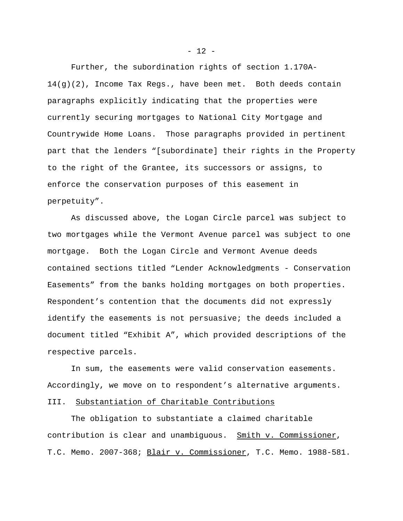Further, the subordination rights of section 1.170A- $14(q)(2)$ , Income Tax Regs., have been met. Both deeds contain paragraphs explicitly indicating that the properties were currently securing mortgages to National City Mortgage and Countrywide Home Loans. Those paragraphs provided in pertinent part that the lenders "[subordinate] their rights in the Property to the right of the Grantee, its successors or assigns, to enforce the conservation purposes of this easement in perpetuity".

As discussed above, the Logan Circle parcel was subject to two mortgages while the Vermont Avenue parcel was subject to one mortgage. Both the Logan Circle and Vermont Avenue deeds contained sections titled "Lender Acknowledgments - Conservation Easements" from the banks holding mortgages on both properties. Respondent's contention that the documents did not expressly identify the easements is not persuasive; the deeds included a document titled "Exhibit A", which provided descriptions of the respective parcels.

In sum, the easements were valid conservation easements. Accordingly, we move on to respondent's alternative arguments.

# III. Substantiation of Charitable Contributions

The obligation to substantiate a claimed charitable contribution is clear and unambiguous. Smith v. Commissioner, T.C. Memo. 2007-368; Blair v. Commissioner, T.C. Memo. 1988-581.

 $- 12 -$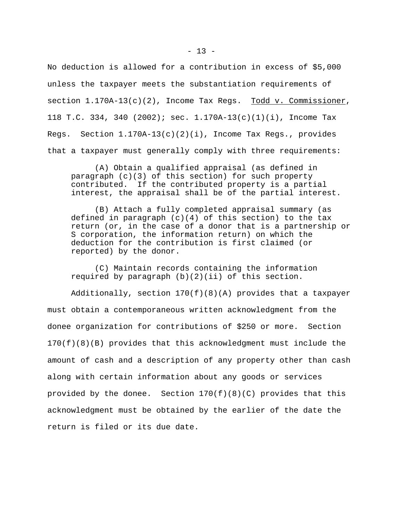No deduction is allowed for a contribution in excess of \$5,000 unless the taxpayer meets the substantiation requirements of section  $1.170A-13(c)(2)$ , Income Tax Regs. Todd v. Commissioner, 118 T.C. 334, 340 (2002); sec.  $1.170A-13(c)(1)(i)$ , Income Tax Regs. Section  $1.170A-13(c)(2)(i)$ , Income Tax Regs., provides that a taxpayer must generally comply with three requirements:

(A) Obtain a qualified appraisal (as defined in paragraph (c)(3) of this section) for such property contributed. If the contributed property is a partial interest, the appraisal shall be of the partial interest.

(B) Attach a fully completed appraisal summary (as defined in paragraph  $(c)(4)$  of this section) to the tax return (or, in the case of a donor that is a partnership or S corporation, the information return) on which the deduction for the contribution is first claimed (or reported) by the donor.

(C) Maintain records containing the information required by paragraph  $(b)(2)(ii)$  of this section.

Additionally, section 170(f)(8)(A) provides that a taxpayer must obtain a contemporaneous written acknowledgment from the donee organization for contributions of \$250 or more. Section 170(f)(8)(B) provides that this acknowledgment must include the amount of cash and a description of any property other than cash along with certain information about any goods or services provided by the donee. Section 170(f)(8)(C) provides that this acknowledgment must be obtained by the earlier of the date the return is filed or its due date.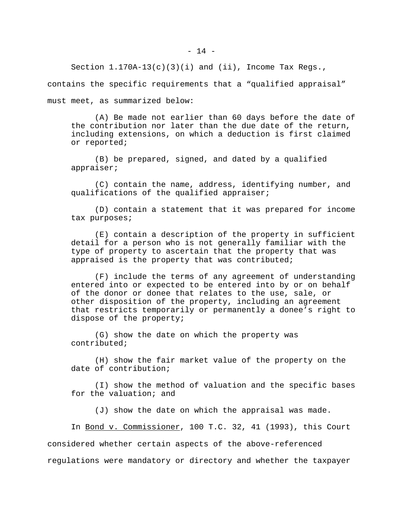Section  $1.170A-13(c)(3)(i)$  and (ii), Income Tax Reqs.,

contains the specific requirements that a "qualified appraisal"

must meet, as summarized below:

(A) Be made not earlier than 60 days before the date of the contribution nor later than the due date of the return, including extensions, on which a deduction is first claimed or reported;

(B) be prepared, signed, and dated by a qualified appraiser;

(C) contain the name, address, identifying number, and qualifications of the qualified appraiser;

(D) contain a statement that it was prepared for income tax purposes;

(E) contain a description of the property in sufficient detail for a person who is not generally familiar with the type of property to ascertain that the property that was appraised is the property that was contributed;

(F) include the terms of any agreement of understanding entered into or expected to be entered into by or on behalf of the donor or donee that relates to the use, sale, or other disposition of the property, including an agreement that restricts temporarily or permanently a donee's right to dispose of the property;

(G) show the date on which the property was contributed;

(H) show the fair market value of the property on the date of contribution;

(I) show the method of valuation and the specific bases for the valuation; and

(J) show the date on which the appraisal was made.

In Bond v. Commissioner, 100 T.C. 32, 41 (1993), this Court considered whether certain aspects of the above-referenced regulations were mandatory or directory and whether the taxpayer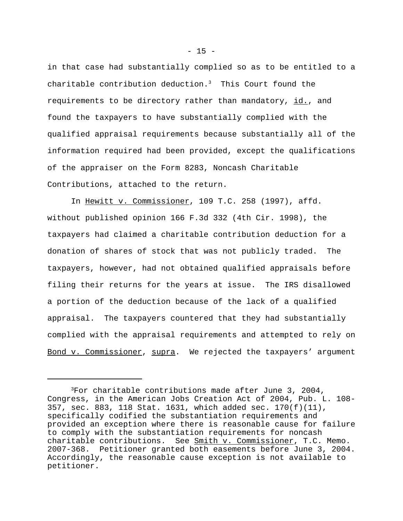in that case had substantially complied so as to be entitled to a charitable contribution deduction.<sup>3</sup> This Court found the requirements to be directory rather than mandatory, id., and found the taxpayers to have substantially complied with the qualified appraisal requirements because substantially all of the information required had been provided, except the qualifications of the appraiser on the Form 8283, Noncash Charitable Contributions, attached to the return.

In Hewitt v. Commissioner, 109 T.C. 258 (1997), affd. without published opinion 166 F.3d 332 (4th Cir. 1998), the taxpayers had claimed a charitable contribution deduction for a donation of shares of stock that was not publicly traded. The taxpayers, however, had not obtained qualified appraisals before filing their returns for the years at issue. The IRS disallowed a portion of the deduction because of the lack of a qualified appraisal. The taxpayers countered that they had substantially complied with the appraisal requirements and attempted to rely on Bond v. Commissioner, supra. We rejected the taxpayers' argument

 $3$ For charitable contributions made after June 3, 2004, Congress, in the American Jobs Creation Act of 2004, Pub. L. 108- 357, sec. 883, 118 Stat. 1631, which added sec. 170(f)(11), specifically codified the substantiation requirements and provided an exception where there is reasonable cause for failure to comply with the substantiation requirements for noncash charitable contributions. See Smith v. Commissioner, T.C. Memo. 2007-368. Petitioner granted both easements before June 3, 2004. Accordingly, the reasonable cause exception is not available to petitioner.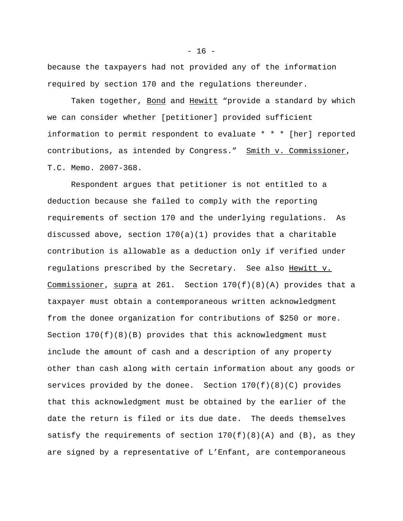because the taxpayers had not provided any of the information required by section 170 and the regulations thereunder.

Taken together, Bond and Hewitt "provide a standard by which we can consider whether [petitioner] provided sufficient information to permit respondent to evaluate \* \* \* [her] reported contributions, as intended by Congress." Smith v. Commissioner, T.C. Memo. 2007-368.

Respondent argues that petitioner is not entitled to a deduction because she failed to comply with the reporting requirements of section 170 and the underlying regulations. As discussed above, section 170(a)(1) provides that a charitable contribution is allowable as a deduction only if verified under regulations prescribed by the Secretary. See also Hewitt v. Commissioner, supra at 261. Section  $170(f)(8)(A)$  provides that a taxpayer must obtain a contemporaneous written acknowledgment from the donee organization for contributions of \$250 or more. Section  $170(f)(8)(B)$  provides that this acknowledgment must include the amount of cash and a description of any property other than cash along with certain information about any goods or services provided by the donee. Section  $170(f)(8)(C)$  provides that this acknowledgment must be obtained by the earlier of the date the return is filed or its due date. The deeds themselves satisfy the requirements of section  $170(f)(8)(A)$  and  $(B)$ , as they are signed by a representative of L'Enfant, are contemporaneous

 $- 16 -$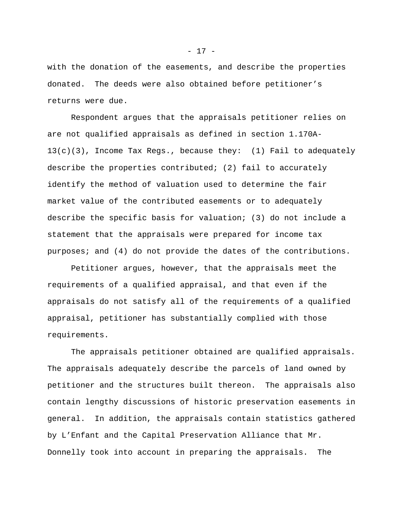with the donation of the easements, and describe the properties donated. The deeds were also obtained before petitioner's returns were due.

Respondent argues that the appraisals petitioner relies on are not qualified appraisals as defined in section 1.170A- $13(c)(3)$ , Income Tax Regs., because they: (1) Fail to adequately describe the properties contributed; (2) fail to accurately identify the method of valuation used to determine the fair market value of the contributed easements or to adequately describe the specific basis for valuation; (3) do not include a statement that the appraisals were prepared for income tax purposes; and (4) do not provide the dates of the contributions.

Petitioner argues, however, that the appraisals meet the requirements of a qualified appraisal, and that even if the appraisals do not satisfy all of the requirements of a qualified appraisal, petitioner has substantially complied with those requirements.

The appraisals petitioner obtained are qualified appraisals. The appraisals adequately describe the parcels of land owned by petitioner and the structures built thereon. The appraisals also contain lengthy discussions of historic preservation easements in general. In addition, the appraisals contain statistics gathered by L'Enfant and the Capital Preservation Alliance that Mr. Donnelly took into account in preparing the appraisals. The

- 17 -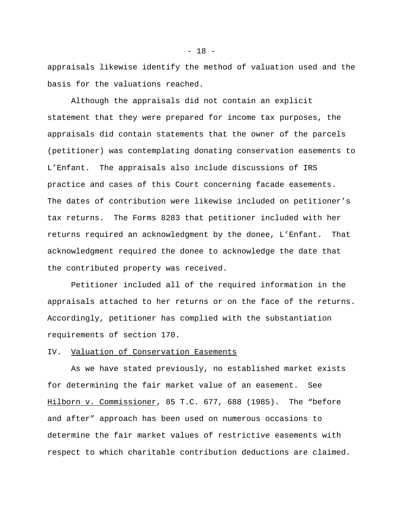appraisals likewise identify the method of valuation used and the basis for the valuations reached.

Although the appraisals did not contain an explicit statement that they were prepared for income tax purposes, the appraisals did contain statements that the owner of the parcels (petitioner) was contemplating donating conservation easements to L'Enfant. The appraisals also include discussions of IRS practice and cases of this Court concerning facade easements. The dates of contribution were likewise included on petitioner's tax returns. The Forms 8283 that petitioner included with her returns required an acknowledgment by the donee, L'Enfant. That acknowledgment required the donee to acknowledge the date that the contributed property was received.

Petitioner included all of the required information in the appraisals attached to her returns or on the face of the returns. Accordingly, petitioner has complied with the substantiation requirements of section 170.

# IV. Valuation of Conservation Easements

As we have stated previously, no established market exists for determining the fair market value of an easement. See Hilborn v. Commissioner, 85 T.C. 677, 688 (1985). The "before and after" approach has been used on numerous occasions to determine the fair market values of restrictive easements with respect to which charitable contribution deductions are claimed.

 $- 18 -$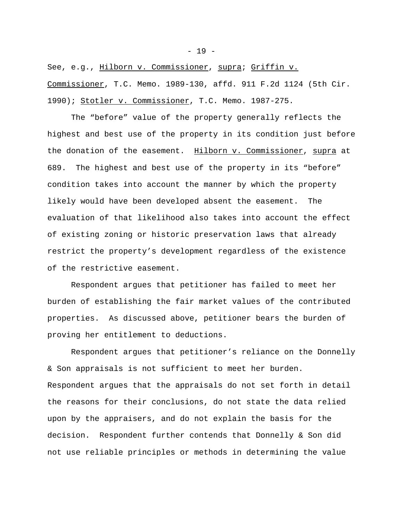See, e.g., Hilborn v. Commissioner, supra; Griffin v. Commissioner, T.C. Memo. 1989-130, affd. 911 F.2d 1124 (5th Cir. 1990); Stotler v. Commissioner, T.C. Memo. 1987-275.

The "before" value of the property generally reflects the highest and best use of the property in its condition just before the donation of the easement. Hilborn v. Commissioner, supra at 689. The highest and best use of the property in its "before" condition takes into account the manner by which the property likely would have been developed absent the easement. The evaluation of that likelihood also takes into account the effect of existing zoning or historic preservation laws that already restrict the property's development regardless of the existence of the restrictive easement.

Respondent argues that petitioner has failed to meet her burden of establishing the fair market values of the contributed properties. As discussed above, petitioner bears the burden of proving her entitlement to deductions.

Respondent argues that petitioner's reliance on the Donnelly & Son appraisals is not sufficient to meet her burden. Respondent argues that the appraisals do not set forth in detail the reasons for their conclusions, do not state the data relied upon by the appraisers, and do not explain the basis for the decision. Respondent further contends that Donnelly & Son did not use reliable principles or methods in determining the value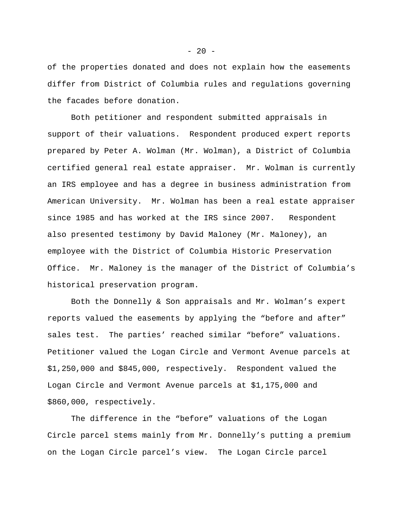of the properties donated and does not explain how the easements differ from District of Columbia rules and regulations governing the facades before donation.

Both petitioner and respondent submitted appraisals in support of their valuations. Respondent produced expert reports prepared by Peter A. Wolman (Mr. Wolman), a District of Columbia certified general real estate appraiser. Mr. Wolman is currently an IRS employee and has a degree in business administration from American University. Mr. Wolman has been a real estate appraiser since 1985 and has worked at the IRS since 2007. Respondent also presented testimony by David Maloney (Mr. Maloney), an employee with the District of Columbia Historic Preservation Office. Mr. Maloney is the manager of the District of Columbia's historical preservation program.

Both the Donnelly & Son appraisals and Mr. Wolman's expert reports valued the easements by applying the "before and after" sales test. The parties' reached similar "before" valuations. Petitioner valued the Logan Circle and Vermont Avenue parcels at \$1,250,000 and \$845,000, respectively. Respondent valued the Logan Circle and Vermont Avenue parcels at \$1,175,000 and \$860,000, respectively.

The difference in the "before" valuations of the Logan Circle parcel stems mainly from Mr. Donnelly's putting a premium on the Logan Circle parcel's view. The Logan Circle parcel

 $- 20 -$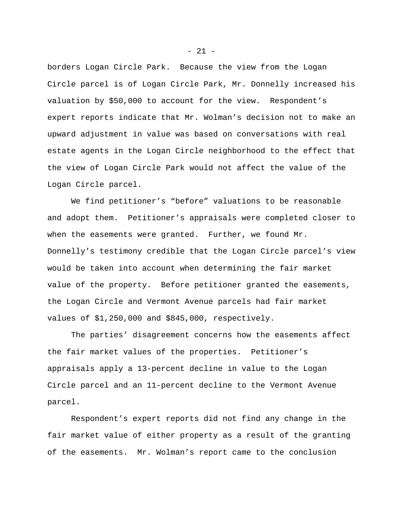borders Logan Circle Park. Because the view from the Logan Circle parcel is of Logan Circle Park, Mr. Donnelly increased his valuation by \$50,000 to account for the view. Respondent's expert reports indicate that Mr. Wolman's decision not to make an upward adjustment in value was based on conversations with real estate agents in the Logan Circle neighborhood to the effect that the view of Logan Circle Park would not affect the value of the Logan Circle parcel.

We find petitioner's "before" valuations to be reasonable and adopt them. Petitioner's appraisals were completed closer to when the easements were granted. Further, we found Mr. Donnelly's testimony credible that the Logan Circle parcel's view would be taken into account when determining the fair market value of the property. Before petitioner granted the easements, the Logan Circle and Vermont Avenue parcels had fair market values of \$1,250,000 and \$845,000, respectively.

The parties' disagreement concerns how the easements affect the fair market values of the properties. Petitioner's appraisals apply a 13-percent decline in value to the Logan Circle parcel and an 11-percent decline to the Vermont Avenue parcel.

Respondent's expert reports did not find any change in the fair market value of either property as a result of the granting of the easements. Mr. Wolman's report came to the conclusion

- 21 -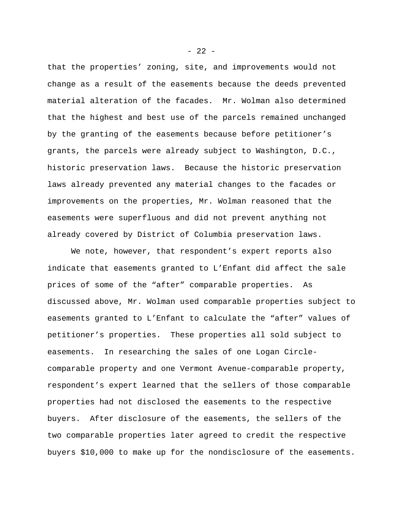that the properties' zoning, site, and improvements would not change as a result of the easements because the deeds prevented material alteration of the facades. Mr. Wolman also determined that the highest and best use of the parcels remained unchanged by the granting of the easements because before petitioner's grants, the parcels were already subject to Washington, D.C., historic preservation laws. Because the historic preservation laws already prevented any material changes to the facades or improvements on the properties, Mr. Wolman reasoned that the easements were superfluous and did not prevent anything not already covered by District of Columbia preservation laws.

We note, however, that respondent's expert reports also indicate that easements granted to L'Enfant did affect the sale prices of some of the "after" comparable properties. As discussed above, Mr. Wolman used comparable properties subject to easements granted to L'Enfant to calculate the "after" values of petitioner's properties. These properties all sold subject to easements. In researching the sales of one Logan Circlecomparable property and one Vermont Avenue-comparable property, respondent's expert learned that the sellers of those comparable properties had not disclosed the easements to the respective buyers. After disclosure of the easements, the sellers of the two comparable properties later agreed to credit the respective buyers \$10,000 to make up for the nondisclosure of the easements.

 $- 22 -$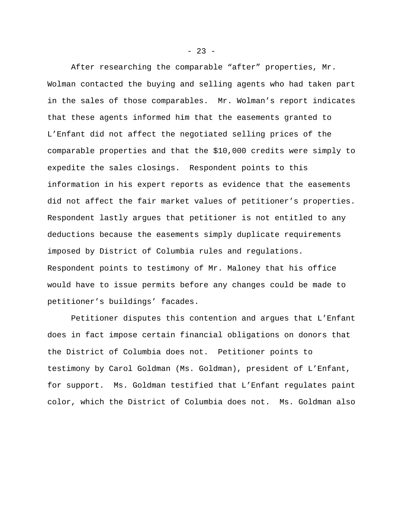After researching the comparable "after" properties, Mr. Wolman contacted the buying and selling agents who had taken part in the sales of those comparables. Mr. Wolman's report indicates that these agents informed him that the easements granted to L'Enfant did not affect the negotiated selling prices of the comparable properties and that the \$10,000 credits were simply to expedite the sales closings. Respondent points to this information in his expert reports as evidence that the easements did not affect the fair market values of petitioner's properties. Respondent lastly argues that petitioner is not entitled to any deductions because the easements simply duplicate requirements imposed by District of Columbia rules and regulations. Respondent points to testimony of Mr. Maloney that his office would have to issue permits before any changes could be made to petitioner's buildings' facades.

Petitioner disputes this contention and argues that L'Enfant does in fact impose certain financial obligations on donors that the District of Columbia does not. Petitioner points to testimony by Carol Goldman (Ms. Goldman), president of L'Enfant, for support. Ms. Goldman testified that L'Enfant regulates paint color, which the District of Columbia does not. Ms. Goldman also

 $- 23 -$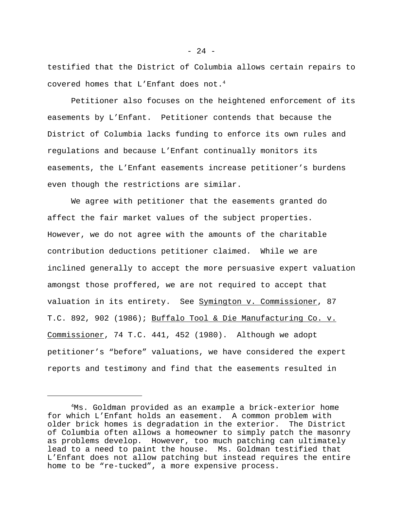testified that the District of Columbia allows certain repairs to covered homes that L'Enfant does not.<sup>4</sup>

Petitioner also focuses on the heightened enforcement of its easements by L'Enfant. Petitioner contends that because the District of Columbia lacks funding to enforce its own rules and regulations and because L'Enfant continually monitors its easements, the L'Enfant easements increase petitioner's burdens even though the restrictions are similar.

We agree with petitioner that the easements granted do affect the fair market values of the subject properties. However, we do not agree with the amounts of the charitable contribution deductions petitioner claimed. While we are inclined generally to accept the more persuasive expert valuation amongst those proffered, we are not required to accept that valuation in its entirety. See Symington v. Commissioner, 87 T.C. 892, 902 (1986); Buffalo Tool & Die Manufacturing Co. v. Commissioner, 74 T.C. 441, 452 (1980). Although we adopt petitioner's "before" valuations, we have considered the expert reports and testimony and find that the easements resulted in

 $- 24 -$ 

<sup>4</sup>Ms. Goldman provided as an example a brick-exterior home for which L'Enfant holds an easement. A common problem with older brick homes is degradation in the exterior. The District of Columbia often allows a homeowner to simply patch the masonry as problems develop. However, too much patching can ultimately lead to a need to paint the house. Ms. Goldman testified that L'Enfant does not allow patching but instead requires the entire home to be "re-tucked", a more expensive process.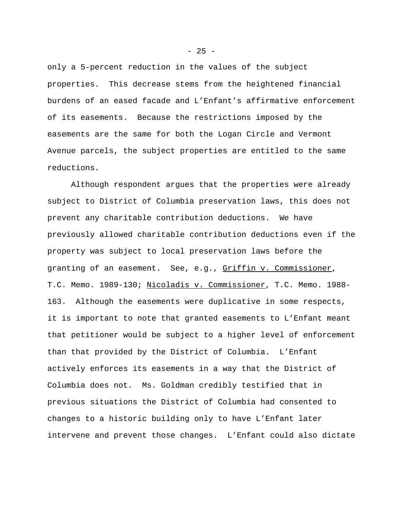only a 5-percent reduction in the values of the subject properties. This decrease stems from the heightened financial burdens of an eased facade and L'Enfant's affirmative enforcement of its easements. Because the restrictions imposed by the easements are the same for both the Logan Circle and Vermont Avenue parcels, the subject properties are entitled to the same reductions.

Although respondent argues that the properties were already subject to District of Columbia preservation laws, this does not prevent any charitable contribution deductions. We have previously allowed charitable contribution deductions even if the property was subject to local preservation laws before the granting of an easement. See, e.g., Griffin v. Commissioner, T.C. Memo. 1989-130; Nicoladis v. Commissioner, T.C. Memo. 1988- 163. Although the easements were duplicative in some respects, it is important to note that granted easements to L'Enfant meant that petitioner would be subject to a higher level of enforcement than that provided by the District of Columbia. L'Enfant actively enforces its easements in a way that the District of Columbia does not. Ms. Goldman credibly testified that in previous situations the District of Columbia had consented to changes to a historic building only to have L'Enfant later intervene and prevent those changes. L'Enfant could also dictate

 $- 25 -$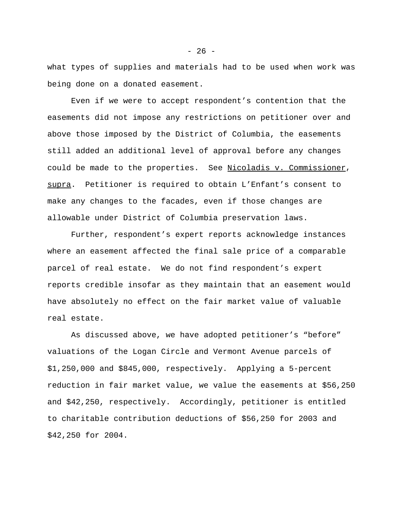what types of supplies and materials had to be used when work was being done on a donated easement.

Even if we were to accept respondent's contention that the easements did not impose any restrictions on petitioner over and above those imposed by the District of Columbia, the easements still added an additional level of approval before any changes could be made to the properties. See Nicoladis v. Commissioner, supra. Petitioner is required to obtain L'Enfant's consent to make any changes to the facades, even if those changes are allowable under District of Columbia preservation laws.

Further, respondent's expert reports acknowledge instances where an easement affected the final sale price of a comparable parcel of real estate. We do not find respondent's expert reports credible insofar as they maintain that an easement would have absolutely no effect on the fair market value of valuable real estate.

As discussed above, we have adopted petitioner's "before" valuations of the Logan Circle and Vermont Avenue parcels of \$1,250,000 and \$845,000, respectively. Applying a 5-percent reduction in fair market value, we value the easements at \$56,250 and \$42,250, respectively. Accordingly, petitioner is entitled to charitable contribution deductions of \$56,250 for 2003 and \$42,250 for 2004.

 $- 26 -$